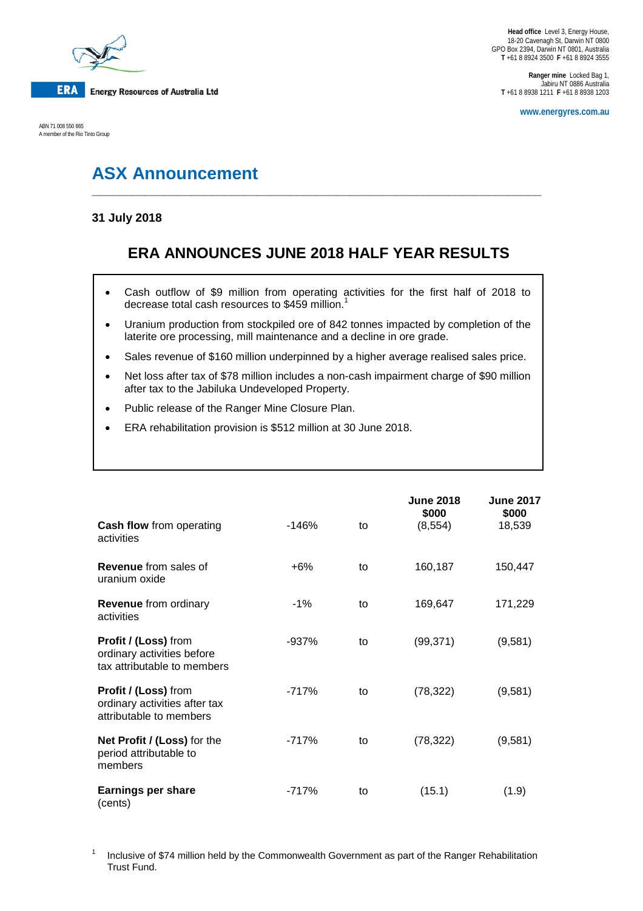

ABN 71 008 550 865 A member of the Rio Tinto Group

**Ranger mine** Locked Bag 1, Jabiru NT 0886 Australia **T** +61 8 8938 1211 **F** +61 8 8938 1203

**www.energyres.com.au**

# **ASX Announcement**

### **31 July 2018**

## **ERA ANNOUNCES JUNE 2018 HALF YEAR RESULTS**

**\_\_\_\_\_\_\_\_\_\_\_\_\_\_\_\_\_\_\_\_\_\_\_\_\_\_\_\_\_\_\_\_\_\_\_\_\_\_\_\_\_\_\_\_\_\_\_\_\_\_\_\_\_\_\_\_\_\_\_\_\_\_\_\_\_\_\_\_**

- Cash outflow of \$9 million from operating activities for the first half of 2018 to decrease total cash resources to \$459 million. $^{\mathrm{1}}$
- Uranium production from stockpiled ore of 842 tonnes impacted by completion of the laterite ore processing, mill maintenance and a decline in ore grade.
- Sales revenue of \$160 million underpinned by a higher average realised sales price.
- Net loss after tax of \$78 million includes a non-cash impairment charge of \$90 million after tax to the Jabiluka Undeveloped Property.
- Public release of the Ranger Mine Closure Plan.
- ERA rehabilitation provision is \$512 million at 30 June 2018.

|                                                                                         |         |    | <b>June 2018</b>  |                                     |
|-----------------------------------------------------------------------------------------|---------|----|-------------------|-------------------------------------|
| Cash flow from operating                                                                | $-146%$ | to | \$000<br>(8, 554) | <b>June 2017</b><br>\$000<br>18,539 |
| activities                                                                              |         |    |                   |                                     |
| <b>Revenue</b> from sales of<br>uranium oxide                                           | $+6%$   | to | 160,187           | 150,447                             |
| <b>Revenue</b> from ordinary<br>activities                                              | $-1\%$  | to | 169,647           | 171,229                             |
| Profit / (Loss) from<br>ordinary activities before<br>tax attributable to members       | $-937%$ | to | (99, 371)         | (9,581)                             |
| <b>Profit / (Loss)</b> from<br>ordinary activities after tax<br>attributable to members | $-717%$ | to | (78, 322)         | (9,581)                             |
| Net Profit / (Loss) for the<br>period attributable to<br>members                        | $-717%$ | to | (78, 322)         | (9,581)                             |
| <b>Earnings per share</b><br>(cents)                                                    | -717%   | to | (15.1)            | (1.9)                               |

<sup>1</sup> Inclusive of \$74 million held by the Commonwealth Government as part of the Ranger Rehabilitation Trust Fund.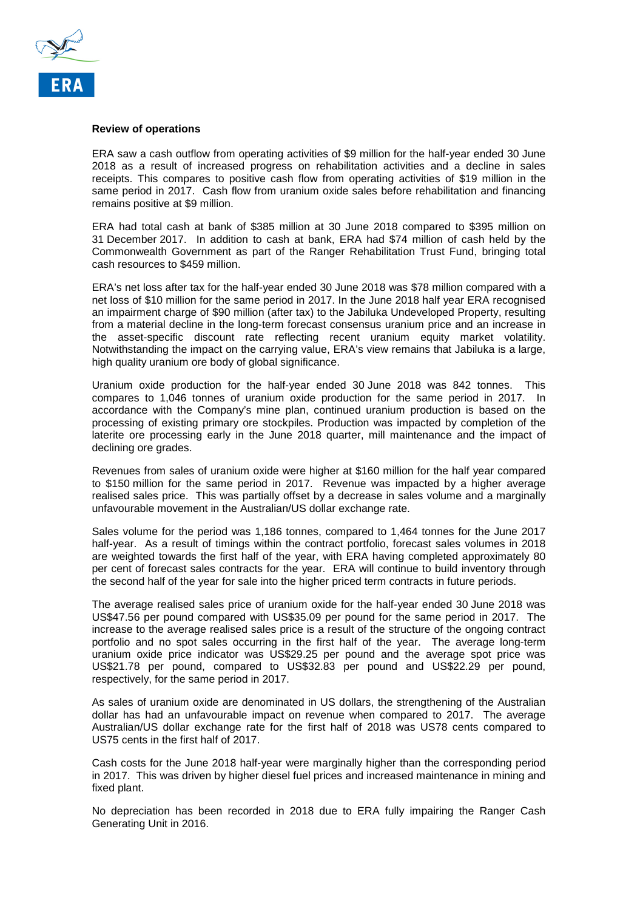

#### **Review of operations**

ERA saw a cash outflow from operating activities of \$9 million for the half-year ended 30 June 2018 as a result of increased progress on rehabilitation activities and a decline in sales receipts. This compares to positive cash flow from operating activities of \$19 million in the same period in 2017. Cash flow from uranium oxide sales before rehabilitation and financing remains positive at \$9 million.

ERA had total cash at bank of \$385 million at 30 June 2018 compared to \$395 million on 31 December 2017. In addition to cash at bank, ERA had \$74 million of cash held by the Commonwealth Government as part of the Ranger Rehabilitation Trust Fund, bringing total cash resources to \$459 million.

ERA's net loss after tax for the half-year ended 30 June 2018 was \$78 million compared with a net loss of \$10 million for the same period in 2017. In the June 2018 half year ERA recognised an impairment charge of \$90 million (after tax) to the Jabiluka Undeveloped Property, resulting from a material decline in the long-term forecast consensus uranium price and an increase in the asset-specific discount rate reflecting recent uranium equity market volatility. Notwithstanding the impact on the carrying value, ERA's view remains that Jabiluka is a large, high quality uranium ore body of global significance.

Uranium oxide production for the half-year ended 30 June 2018 was 842 tonnes. This compares to 1,046 tonnes of uranium oxide production for the same period in 2017. In accordance with the Company's mine plan, continued uranium production is based on the processing of existing primary ore stockpiles. Production was impacted by completion of the laterite ore processing early in the June 2018 quarter, mill maintenance and the impact of declining ore grades.

Revenues from sales of uranium oxide were higher at \$160 million for the half year compared to \$150 million for the same period in 2017. Revenue was impacted by a higher average realised sales price. This was partially offset by a decrease in sales volume and a marginally unfavourable movement in the Australian/US dollar exchange rate.

Sales volume for the period was 1,186 tonnes, compared to 1,464 tonnes for the June 2017 half-year. As a result of timings within the contract portfolio, forecast sales volumes in 2018 are weighted towards the first half of the year, with ERA having completed approximately 80 per cent of forecast sales contracts for the year. ERA will continue to build inventory through the second half of the year for sale into the higher priced term contracts in future periods.

The average realised sales price of uranium oxide for the half-year ended 30 June 2018 was US\$47.56 per pound compared with US\$35.09 per pound for the same period in 2017. The increase to the average realised sales price is a result of the structure of the ongoing contract portfolio and no spot sales occurring in the first half of the year. The average long-term uranium oxide price indicator was US\$29.25 per pound and the average spot price was US\$21.78 per pound, compared to US\$32.83 per pound and US\$22.29 per pound, respectively, for the same period in 2017.

As sales of uranium oxide are denominated in US dollars, the strengthening of the Australian dollar has had an unfavourable impact on revenue when compared to 2017. The average Australian/US dollar exchange rate for the first half of 2018 was US78 cents compared to US75 cents in the first half of 2017.

Cash costs for the June 2018 half-year were marginally higher than the corresponding period in 2017. This was driven by higher diesel fuel prices and increased maintenance in mining and fixed plant.

No depreciation has been recorded in 2018 due to ERA fully impairing the Ranger Cash Generating Unit in 2016.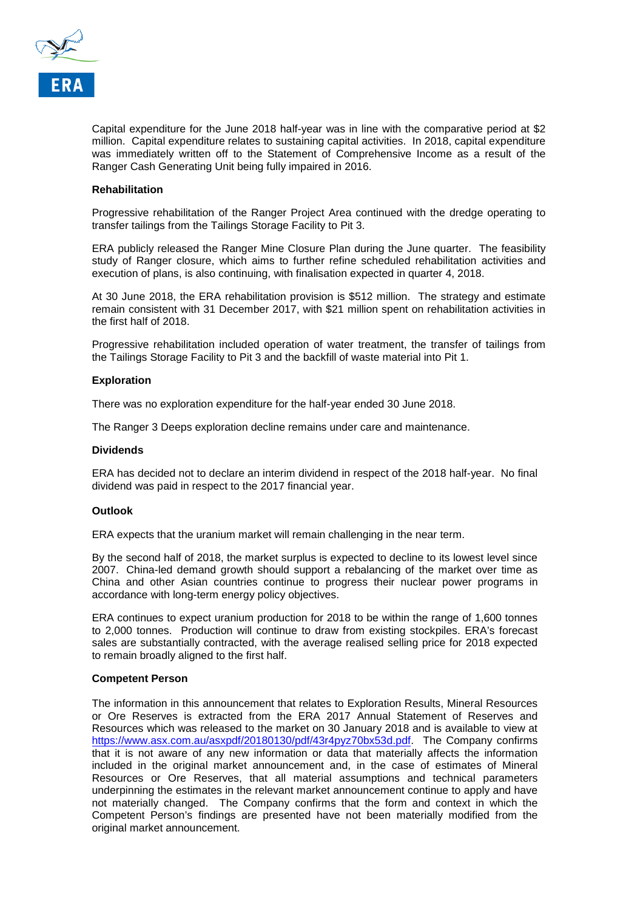

Capital expenditure for the June 2018 half-year was in line with the comparative period at \$2 million. Capital expenditure relates to sustaining capital activities. In 2018, capital expenditure was immediately written off to the Statement of Comprehensive Income as a result of the Ranger Cash Generating Unit being fully impaired in 2016.

#### **Rehabilitation**

Progressive rehabilitation of the Ranger Project Area continued with the dredge operating to transfer tailings from the Tailings Storage Facility to Pit 3.

ERA publicly released the Ranger Mine Closure Plan during the June quarter. The feasibility study of Ranger closure, which aims to further refine scheduled rehabilitation activities and execution of plans, is also continuing, with finalisation expected in quarter 4, 2018.

At 30 June 2018, the ERA rehabilitation provision is \$512 million. The strategy and estimate remain consistent with 31 December 2017, with \$21 million spent on rehabilitation activities in the first half of 2018.

Progressive rehabilitation included operation of water treatment, the transfer of tailings from the Tailings Storage Facility to Pit 3 and the backfill of waste material into Pit 1.

#### **Exploration**

There was no exploration expenditure for the half-year ended 30 June 2018.

The Ranger 3 Deeps exploration decline remains under care and maintenance.

#### **Dividends**

ERA has decided not to declare an interim dividend in respect of the 2018 half-year. No final dividend was paid in respect to the 2017 financial year.

#### **Outlook**

ERA expects that the uranium market will remain challenging in the near term.

By the second half of 2018, the market surplus is expected to decline to its lowest level since 2007. China-led demand growth should support a rebalancing of the market over time as China and other Asian countries continue to progress their nuclear power programs in accordance with long-term energy policy objectives.

ERA continues to expect uranium production for 2018 to be within the range of 1,600 tonnes to 2,000 tonnes. Production will continue to draw from existing stockpiles. ERA's forecast sales are substantially contracted, with the average realised selling price for 2018 expected to remain broadly aligned to the first half.

#### **Competent Person**

The information in this announcement that relates to Exploration Results, Mineral Resources or Ore Reserves is extracted from the ERA 2017 Annual Statement of Reserves and Resources which was released to the market on 30 January 2018 and is available to view at [https://www.asx.com.au/asxpdf/20180130/pdf/43r4pyz70bx53d.pdf.](https://www.asx.com.au/asxpdf/20180130/pdf/43r4pyz70bx53d.pdf) The Company confirms that it is not aware of any new information or data that materially affects the information included in the original market announcement and, in the case of estimates of Mineral Resources or Ore Reserves, that all material assumptions and technical parameters underpinning the estimates in the relevant market announcement continue to apply and have not materially changed. The Company confirms that the form and context in which the Competent Person's findings are presented have not been materially modified from the original market announcement.